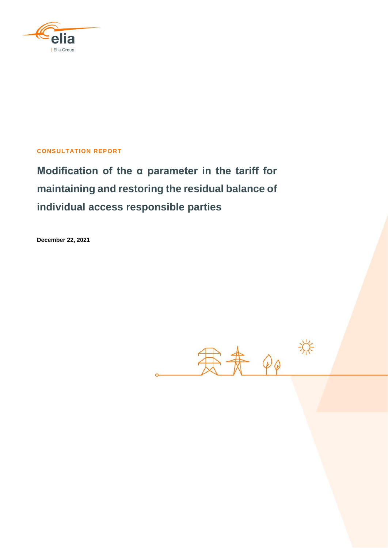

## **CONSULTATION REPORT**

**Modification of the α parameter in the tariff for maintaining and restoring the residual balance of individual access responsible parties**

**December 22, 2021**

寒素。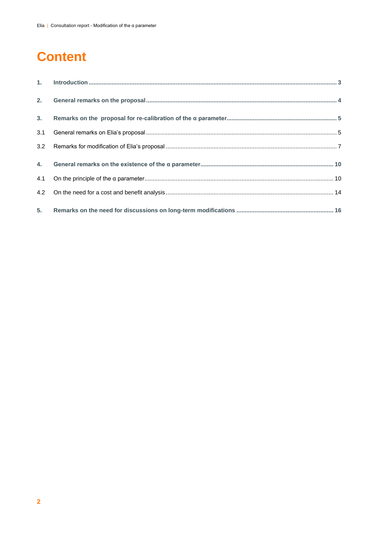# **Content**

| 3.  |  |
|-----|--|
| 3.1 |  |
|     |  |
|     |  |
|     |  |
|     |  |
|     |  |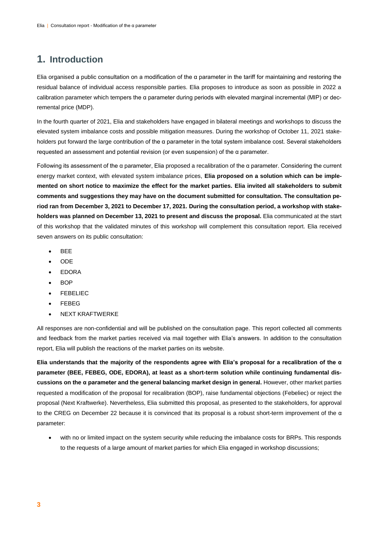# **1. Introduction**

Elia organised a public consultation on a modification of the α parameter in the tariff for maintaining and restoring the residual balance of individual access responsible parties. Elia proposes to introduce as soon as possible in 2022 a calibration parameter which tempers the α parameter during periods with elevated marginal incremental (MIP) or decremental price (MDP).

In the fourth quarter of 2021, Elia and stakeholders have engaged in bilateral meetings and workshops to discuss the elevated system imbalance costs and possible mitigation measures. During the workshop of October 11, 2021 stakeholders put forward the large contribution of the α parameter in the total system imbalance cost. Several stakeholders requested an assessment and potential revision (or even suspension) of the α parameter.

Following its assessment of the α parameter, Elia proposed a recalibration of the α parameter. Considering the current energy market context, with elevated system imbalance prices, **Elia proposed on a solution which can be implemented on short notice to maximize the effect for the market parties. Elia invited all stakeholders to submit comments and suggestions they may have on the document submitted for consultation. The consultation period ran from December 3, 2021 to December 17, 2021. During the consultation period, a workshop with stakeholders was planned on December 13, 2021 to present and discuss the proposal.** Elia communicated at the start of this workshop that the validated minutes of this workshop will complement this consultation report. Elia received seven answers on its public consultation:

- **BEE**
- ODE
- EDORA
- BOP
- FEBELIEC
- FEBEG
- NEXT KRAFTWERKE

All responses are non-confidential and will be published on the consultation page. This report collected all comments and feedback from the market parties received via mail together with Elia's answers. In addition to the consultation report, Elia will publish the reactions of the market parties on its website.

**Elia understands that the majority of the respondents agree with Elia's proposal for a recalibration of the α parameter (BEE, FEBEG, ODE, EDORA), at least as a short-term solution while continuing fundamental discussions on the α parameter and the general balancing market design in general.** However, other market parties requested a modification of the proposal for recalibration (BOP), raise fundamental objections (Febeliec) or reject the proposal (Next Kraftwerke). Nevertheless, Elia submitted this proposal, as presented to the stakeholders, for approval to the CREG on December 22 because it is convinced that its proposal is a robust short-term improvement of the α parameter:

 with no or limited impact on the system security while reducing the imbalance costs for BRPs. This responds to the requests of a large amount of market parties for which Elia engaged in workshop discussions;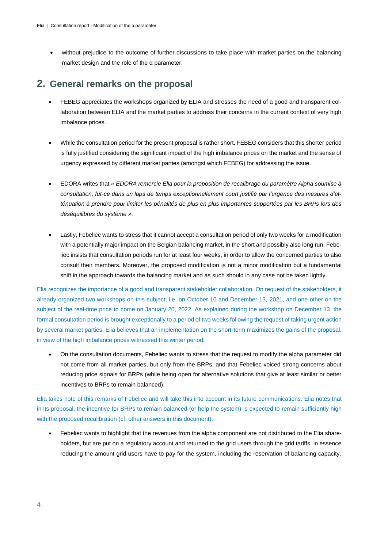without prejudice to the outcome of further discussions to take place with market parties on the balancing market design and the role of the α parameter.

## **2. General remarks on the proposal**

- FEBEG appreciates the workshops organized by ELIA and stresses the need of a good and transparent collaboration between ELIA and the market parties to address their concerns in the current context of very high imbalance prices.
- While the consultation period for the present proposal is rather short, FEBEG considers that this shorter period is fully justified considering the significant impact of the high imbalance prices on the market and the sense of urgency expressed by different market parties (amongst which FEBEG) for addressing the issue.
- EDORA writes that *« EDORA remercie Elia pour la proposition de recalibrage du paramètre Alpha soumise à consultation, fut-ce dans un laps de temps exceptionnellement court justifié par l'urgence des mesures d'at*ténuation à prendre pour limiter les pénalités de plus en plus importantes supportées par les BRPs lors des *déséquilibres du système ».*
- Lastly, Febeliec wants to stress that it cannot accept a consultation period of only two weeks for a modification with a potentially major impact on the Belgian balancing market, in the short and possibly also long run. Febeliec insists that consultation periods run for at least four weeks, in order to allow the concerned parties to also consult their members. Moreover, the proposed modification is not a minor modification but a fundamental shift in the approach towards the balancing market and as such should in any case not be taken lightly.

Elia recognizes the importance of a good and transparent stakeholder collaboration. On request of the stakeholders, it already organized two workshops on this subject, i.e. on October 10 and December 13, 2021, and one other on the subject of the real-time price to come on January 20, 2022. As explained during the workshop on December 13, the formal consultation period is brought exceptionally to a period of two weeks following the request of taking urgent action by several market parties. Elia believes that an implementation on the short-term maximizes the gains of the proposal, in view of the high imbalance prices witnessed this winter period.

 On the consultation documents, Febeliec wants to stress that the request to modify the alpha parameter did not come from all market parties, but only from the BRPs, and that Febeliec voiced strong concerns about reducing price signals for BRPs (while being open for alternative solutions that give at least similar or better incentives to BRPs to remain balanced).

Elia takes note of this remarks of Febeliec and will take this into account in its future communications. Elia notes that in its proposal, the incentive for BRPs to remain balanced (or help the system) is expected to remain sufficiently high with the proposed recalibration (cf. other answers in this document).

 Febeliec wants to highlight that the revenues from the alpha component are not distributed to the Elia shareholders, but are put on a regulatory account and returned to the grid users through the grid tariffs, in essence reducing the amount grid users have to pay for the system, including the reservation of balancing capacity.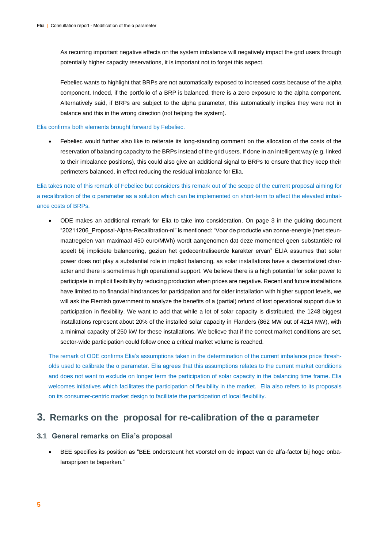As recurring important negative effects on the system imbalance will negatively impact the grid users through potentially higher capacity reservations, it is important not to forget this aspect.

Febeliec wants to highlight that BRPs are not automatically exposed to increased costs because of the alpha component. Indeed, if the portfolio of a BRP is balanced, there is a zero exposure to the alpha component. Alternatively said, if BRPs are subject to the alpha parameter, this automatically implies they were not in balance and this in the wrong direction (not helping the system).

Elia confirms both elements brought forward by Febeliec.

 Febeliec would further also like to reiterate its long-standing comment on the allocation of the costs of the reservation of balancing capacity to the BRPs instead of the grid users. If done in an intelligent way (e.g. linked to their imbalance positions), this could also give an additional signal to BRPs to ensure that they keep their perimeters balanced, in effect reducing the residual imbalance for Elia.

Elia takes note of this remark of Febeliec but considers this remark out of the scope of the current proposal aiming for a recalibration of the α parameter as a solution which can be implemented on short-term to affect the elevated imbalance costs of BRPs.

 ODE makes an additional remark for Elia to take into consideration. On page 3 in the guiding document "20211206\_Proposal-Alpha-Recalibration-nl" is mentioned: "Voor de productie van zonne-energie (met steunmaatregelen van maximaal 450 euro/MWh) wordt aangenomen dat deze momenteel geen substantiële rol speelt bij impliciete balancering, gezien het gedecentraliseerde karakter ervan" ELIA assumes that solar power does not play a substantial role in implicit balancing, as solar installations have a decentralized character and there is sometimes high operational support. We believe there is a high potential for solar power to participate in implicit flexibility by reducing production when prices are negative. Recent and future installations have limited to no financial hindrances for participation and for older installation with higher support levels, we will ask the Flemish government to analyze the benefits of a (partial) refund of lost operational support due to participation in flexibility. We want to add that while a lot of solar capacity is distributed, the 1248 biggest installations represent about 20% of the installed solar capacity in Flanders (862 MW out of 4214 MW), with a minimal capacity of 250 kW for these installations. We believe that if the correct market conditions are set, sector-wide participation could follow once a critical market volume is reached.

The remark of ODE confirms Elia's assumptions taken in the determination of the current imbalance price thresholds used to calibrate the α parameter. Elia agrees that this assumptions relates to the current market conditions and does not want to exclude on longer term the participation of solar capacity in the balancing time frame. Elia welcomes initiatives which facilitates the participation of flexibility in the market. Elia also refers to its proposals on its consumer-centric market design to facilitate the participation of local flexibility.

## **3. Remarks on the proposal for re-calibration of the α parameter**

## **3.1 General remarks on Elia's proposal**

 BEE specifies its position as "BEE ondersteunt het voorstel om de impact van de alfa-factor bij hoge onbalansprijzen te beperken."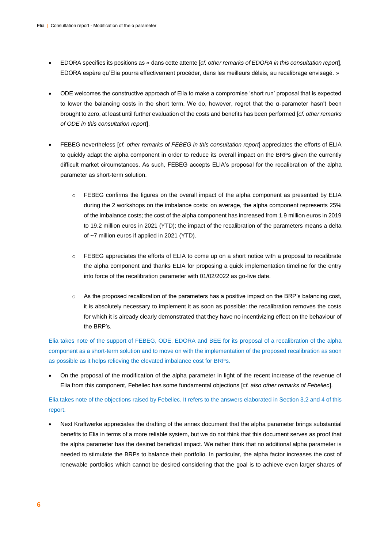- EDORA specifies its positions as « dans cette attente [*cf. other remarks of EDORA in this consultation report*], EDORA espère qu'Elia pourra effectivement procéder, dans les meilleurs délais, au recalibrage envisagé. »
- ODE welcomes the constructive approach of Elia to make a compromise 'short run' proposal that is expected to lower the balancing costs in the short term. We do, however, regret that the α-parameter hasn't been brought to zero, at least until further evaluation of the costs and benefits has been performed [*cf. other remarks of ODE in this consultation report*].
- FEBEG nevertheless [*cf. other remarks of FEBEG in this consultation report*] appreciates the efforts of ELIA to quickly adapt the alpha component in order to reduce its overall impact on the BRPs given the currently difficult market circumstances. As such, FEBEG accepts ELIA's proposal for the recalibration of the alpha parameter as short-term solution.
	- o FEBEG confirms the figures on the overall impact of the alpha component as presented by ELIA during the 2 workshops on the imbalance costs: on average, the alpha component represents 25% of the imbalance costs; the cost of the alpha component has increased from 1.9 million euros in 2019 to 19.2 million euros in 2021 (YTD); the impact of the recalibration of the parameters means a delta of ~7 million euros if applied in 2021 (YTD).
	- o FEBEG appreciates the efforts of ELIA to come up on a short notice with a proposal to recalibrate the alpha component and thanks ELIA for proposing a quick implementation timeline for the entry into force of the recalibration parameter with 01/02/2022 as go-live date.
	- o As the proposed recalibration of the parameters has a positive impact on the BRP's balancing cost, it is absolutely necessary to implement it as soon as possible: the recalibration removes the costs for which it is already clearly demonstrated that they have no incentivizing effect on the behaviour of the BRP's.

Elia takes note of the support of FEBEG, ODE, EDORA and BEE for its proposal of a recalibration of the alpha component as a short-term solution and to move on with the implementation of the proposed recalibration as soon as possible as it helps relieving the elevated imbalance cost for BRPs.

 On the proposal of the modification of the alpha parameter in light of the recent increase of the revenue of Elia from this component, Febeliec has some fundamental objections [*cf. also other remarks of Febeliec*].

## Elia takes note of the objections raised by Febeliec. It refers to the answers elaborated in Section 3.2 and 4 of this report.

 Next Kraftwerke appreciates the drafting of the annex document that the alpha parameter brings substantial benefits to Elia in terms of a more reliable system, but we do not think that this document serves as proof that the alpha parameter has the desired beneficial impact. We rather think that no additional alpha parameter is needed to stimulate the BRPs to balance their portfolio. In particular, the alpha factor increases the cost of renewable portfolios which cannot be desired considering that the goal is to achieve even larger shares of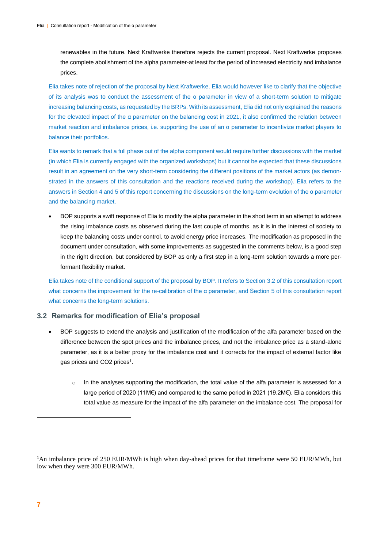renewables in the future. Next Kraftwerke therefore rejects the current proposal. Next Kraftwerke proposes the complete abolishment of the alpha parameter-at least for the period of increased electricity and imbalance prices.

Elia takes note of rejection of the proposal by Next Kraftwerke. Elia would however like to clarify that the objective of its analysis was to conduct the assessment of the α parameter in view of a short-term solution to mitigate increasing balancing costs, as requested by the BRPs. With its assessment, Elia did not only explained the reasons for the elevated impact of the α parameter on the balancing cost in 2021, it also confirmed the relation between market reaction and imbalance prices, i.e. supporting the use of an α parameter to incentivize market players to balance their portfolios.

Elia wants to remark that a full phase out of the alpha component would require further discussions with the market (in which Elia is currently engaged with the organized workshops) but it cannot be expected that these discussions result in an agreement on the very short-term considering the different positions of the market actors (as demonstrated in the answers of this consultation and the reactions received during the workshop). Elia refers to the answers in Section 4 and 5 of this report concerning the discussions on the long-term evolution of the α parameter and the balancing market.

 BOP supports a swift response of Elia to modify the alpha parameter in the short term in an attempt to address the rising imbalance costs as observed during the last couple of months, as it is in the interest of society to keep the balancing costs under control, to avoid energy price increases. The modification as proposed in the document under consultation, with some improvements as suggested in the comments below, is a good step in the right direction, but considered by BOP as only a first step in a long-term solution towards a more performant flexibility market.

Elia takes note of the conditional support of the proposal by BOP. It refers to Section 3.2 of this consultation report what concerns the improvement for the re-calibration of the α parameter, and Section 5 of this consultation report what concerns the long-term solutions.

### **3.2 Remarks for modification of Elia's proposal**

- BOP suggests to extend the analysis and justification of the modification of the alfa parameter based on the difference between the spot prices and the imbalance prices, and not the imbalance price as a stand-alone parameter, as it is a better proxy for the imbalance cost and it corrects for the impact of external factor like gas prices and CO2 prices<sup>1</sup>.
	- o In the analyses supporting the modification, the total value of the alfa parameter is assessed for a large period of 2020 (11M€) and compared to the same period in 2021 (19.2M€). Elia considers this total value as measure for the impact of the alfa parameter on the imbalance cost. The proposal for

-

<sup>&</sup>lt;sup>1</sup>An imbalance price of 250 EUR/MWh is high when day-ahead prices for that timeframe were 50 EUR/MWh, but low when they were 300 EUR/MWh.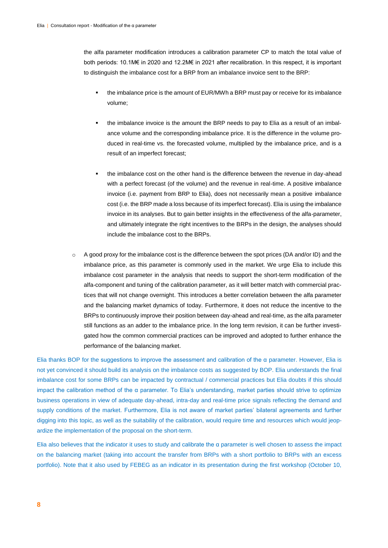the alfa parameter modification introduces a calibration parameter CP to match the total value of both periods: 10.1M€ in 2020 and 12.2M€ in 2021 after recalibration. In this respect, it is important to distinguish the imbalance cost for a BRP from an imbalance invoice sent to the BRP:

- the imbalance price is the amount of EUR/MWh a BRP must pay or receive for its imbalance volume;
- the imbalance invoice is the amount the BRP needs to pay to Elia as a result of an imbalance volume and the corresponding imbalance price. It is the difference in the volume produced in real-time vs. the forecasted volume, multiplied by the imbalance price, and is a result of an imperfect forecast;
- the imbalance cost on the other hand is the difference between the revenue in day-ahead with a perfect forecast (of the volume) and the revenue in real-time. A positive imbalance invoice (i.e. payment from BRP to Elia), does not necessarily mean a positive imbalance cost (i.e. the BRP made a loss because of its imperfect forecast). Elia is using the imbalance invoice in its analyses. But to gain better insights in the effectiveness of the alfa-parameter, and ultimately integrate the right incentives to the BRPs in the design, the analyses should include the imbalance cost to the BRPs.
- $\circ$  A good proxy for the imbalance cost is the difference between the spot prices (DA and/or ID) and the imbalance price, as this parameter is commonly used in the market. We urge Elia to include this imbalance cost parameter in the analysis that needs to support the short-term modification of the alfa-component and tuning of the calibration parameter, as it will better match with commercial practices that will not change overnight. This introduces a better correlation between the alfa parameter and the balancing market dynamics of today. Furthermore, it does not reduce the incentive to the BRPs to continuously improve their position between day-ahead and real-time, as the alfa parameter still functions as an adder to the imbalance price. In the long term revision, it can be further investigated how the common commercial practices can be improved and adopted to further enhance the performance of the balancing market.

Elia thanks BOP for the suggestions to improve the assessment and calibration of the α parameter. However, Elia is not yet convinced it should build its analysis on the imbalance costs as suggested by BOP. Elia understands the final imbalance cost for some BRPs can be impacted by contractual / commercial practices but Elia doubts if this should impact the calibration method of the  $\alpha$  parameter. To Elia's understanding, market parties should strive to optimize business operations in view of adequate day-ahead, intra-day and real-time price signals reflecting the demand and supply conditions of the market. Furthermore, Elia is not aware of market parties' bilateral agreements and further digging into this topic, as well as the suitability of the calibration, would require time and resources which would jeopardize the implementation of the proposal on the short-term.

Elia also believes that the indicator it uses to study and calibrate the α parameter is well chosen to assess the impact on the balancing market (taking into account the transfer from BRPs with a short portfolio to BRPs with an excess portfolio). Note that it also used by FEBEG as an indicator in its presentation during the first workshop (October 10,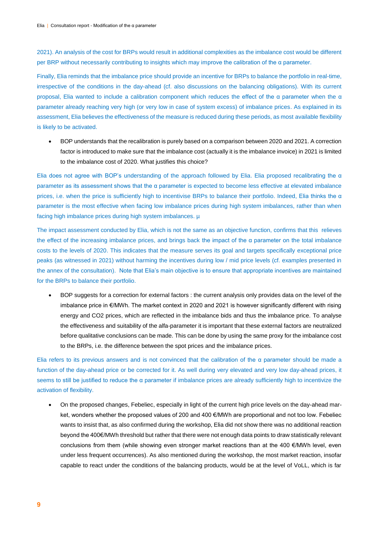2021). An analysis of the cost for BRPs would result in additional complexities as the imbalance cost would be different per BRP without necessarily contributing to insights which may improve the calibration of the α parameter.

Finally, Elia reminds that the imbalance price should provide an incentive for BRPs to balance the portfolio in real-time, irrespective of the conditions in the day-ahead (cf. also discussions on the balancing obligations). With its current proposal, Elia wanted to include a calibration component which reduces the effect of the α parameter when the α parameter already reaching very high (or very low in case of system excess) of imbalance prices. As explained in its assessment, Elia believes the effectiveness of the measure is reduced during these periods, as most available flexibility is likely to be activated.

 BOP understands that the recalibration is purely based on a comparison between 2020 and 2021. A correction factor is introduced to make sure that the imbalance cost (actually it is the imbalance invoice) in 2021 is limited to the imbalance cost of 2020. What justifies this choice?

Elia does not agree with BOP's understanding of the approach followed by Elia. Elia proposed recalibrating the  $α$ parameter as its assessment shows that the α parameter is expected to become less effective at elevated imbalance prices, i.e. when the price is sufficiently high to incentivise BRPs to balance their portfolio. Indeed, Elia thinks the  $\alpha$ parameter is the most effective when facing low imbalance prices during high system imbalances, rather than when facing high imbalance prices during high system imbalances. µ

The impact assessment conducted by Elia, which is not the same as an objective function, confirms that this relieves the effect of the increasing imbalance prices, and brings back the impact of the  $\alpha$  parameter on the total imbalance costs to the levels of 2020. This indicates that the measure serves its goal and targets specifically exceptional price peaks (as witnessed in 2021) without harming the incentives during low / mid price levels (cf. examples presented in the annex of the consultation). Note that Elia's main objective is to ensure that appropriate incentives are maintained for the BRPs to balance their portfolio.

 BOP suggests for a correction for external factors : the current analysis only provides data on the level of the imbalance price in €/MWh. The market context in 2020 and 2021 is however significantly different with rising energy and CO2 prices, which are reflected in the imbalance bids and thus the imbalance price. To analyse the effectiveness and suitability of the alfa-parameter it is important that these external factors are neutralized before qualitative conclusions can be made. This can be done by using the same proxy for the imbalance cost to the BRPs, i.e. the difference between the spot prices and the imbalance prices.

Elia refers to its previous answers and is not convinced that the calibration of the α parameter should be made a function of the day-ahead price or be corrected for it. As well during very elevated and very low day-ahead prices, it seems to still be justified to reduce the α parameter if imbalance prices are already sufficiently high to incentivize the activation of flexibility.

 On the proposed changes, Febeliec, especially in light of the current high price levels on the day-ahead market, wonders whether the proposed values of 200 and 400 €/MWh are proportional and not too low. Febeliec wants to insist that, as also confirmed during the workshop, Elia did not show there was no additional reaction beyond the 400€/MWh threshold but rather that there were not enough data points to draw statistically relevant conclusions from them (while showing even stronger market reactions than at the 400 €/MWh level, even under less frequent occurrences). As also mentioned during the workshop, the most market reaction, insofar capable to react under the conditions of the balancing products, would be at the level of VoLL, which is far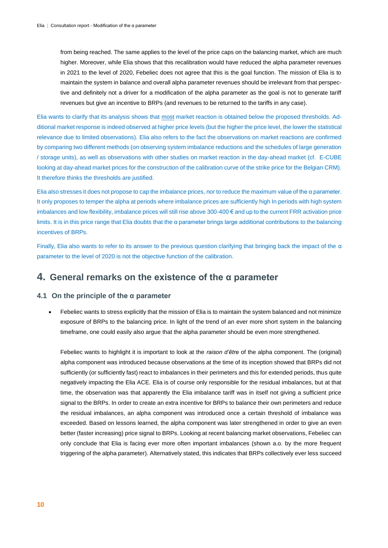from being reached. The same applies to the level of the price caps on the balancing market, which are much higher. Moreover, while Elia shows that this recalibration would have reduced the alpha parameter revenues in 2021 to the level of 2020, Febeliec does not agree that this is the goal function. The mission of Elia is to maintain the system in balance and overall alpha parameter revenues should be irrelevant from that perspective and definitely not a driver for a modification of the alpha parameter as the goal is not to generate tariff revenues but give an incentive to BRPs (and revenues to be returned to the tariffs in any case).

Elia wants to clarify that its analysis shows that most market reaction is obtained below the proposed thresholds. Additional market response is indeed observed at higher price levels (but the higher the price level, the lower the statistical relevance due to limited observations). Elia also refers to the fact the observations on market reactions are confirmed by comparing two different methods (on observing system imbalance reductions and the schedules of large generation / storage units), as well as observations with other studies on market reaction in the day-ahead market (cf. E-CUBE looking at day-ahead market prices for the construction of the calibration curve of the strike price for the Belgian CRM). It therefore thinks the thresholds are justified.

Elia also stresses it does not propose to cap the imbalance prices, nor to reduce the maximum value of the α parameter. It only proposes to temper the alpha at periods where imbalance prices are sufficiently high In periods with high system imbalances and low flexibility, imbalance prices will still rise above 300-400 € and up to the current FRR activation price limits. It is in this price range that Elia doubts that the α parameter brings large additional contributions to the balancing incentives of BRPs.

Finally, Elia also wants to refer to its answer to the previous question clarifying that bringing back the impact of the  $\alpha$ parameter to the level of 2020 is not the objective function of the calibration.

# **4. General remarks on the existence of the α parameter**

#### **4.1 On the principle of the α parameter**

 Febeliec wants to stress explicitly that the mission of Elia is to maintain the system balanced and not minimize exposure of BRPs to the balancing price. In light of the trend of an ever more short system in the balancing timeframe, one could easily also argue that the alpha parameter should be even more strengthened.

Febeliec wants to highlight it is important to look at the *raison d'être* of the alpha component. The (original) alpha component was introduced because observations at the time of its inception showed that BRPs did not sufficiently (or sufficiently fast) react to imbalances in their perimeters and this for extended periods, thus quite negatively impacting the Elia ACE. Elia is of course only responsible for the residual imbalances, but at that time, the observation was that apparently the Elia imbalance tariff was in itself not giving a sufficient price signal to the BRPs. In order to create an extra incentive for BRPs to balance their own perimeters and reduce the residual imbalances, an alpha component was introduced once a certain threshold of imbalance was exceeded. Based on lessons learned, the alpha component was later strengthened in order to give an even better (faster increasing) price signal to BRPs. Looking at recent balancing market observations, Febeliec can only conclude that Elia is facing ever more often important imbalances (shown a.o. by the more frequent triggering of the alpha parameter). Alternatively stated, this indicates that BRPs collectively ever less succeed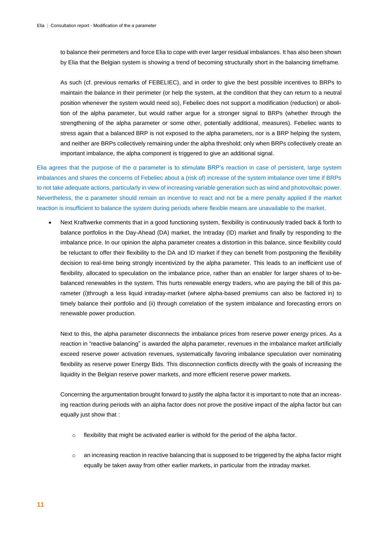to balance their perimeters and force Elia to cope with ever larger residual imbalances. It has also been shown by Elia that the Belgian system is showing a trend of becoming structurally short in the balancing timeframe.

As such (cf. previous remarks of FEBELIEC), and in order to give the best possible incentives to BRPs to maintain the balance in their perimeter (or help the system, at the condition that they can return to a neutral position whenever the system would need so), Febeliec does not support a modification (reduction) or abolition of the alpha parameter, but would rather argue for a stronger signal to BRPs (whether through the strengthening of the alpha parameter or some other, potentially additional, measures). Febeliec wants to stress again that a balanced BRP is not exposed to the alpha parameters, nor is a BRP helping the system, and neither are BRPs collectively remaining under the alpha threshold; only when BRPs collectively create an important imbalance, the alpha component is triggered to give an additional signal.

Elia agrees that the purpose of the α parameter is to stimulate BRP's reaction in case of persistent, large system imbalances and shares the concerns of Febeliec about a (risk of) increase of the system imbalance over time if BRPs to not take adequate actions, particularly in view of increasing variable generation such as wind and photovoltaic power. Nevertheless, the α parameter should remain an incentive to react and not be a mere penalty applied if the market reaction is insufficient to balance the system during periods where flexible means are unavailable to the market.

 Next Kraftwerke comments that in a good functioning system, flexibility is continuously traded back & forth to balance portfolios in the Day-Ahead (DA) market, the Intraday (ID) market and finally by responding to the imbalance price. In our opinion the alpha parameter creates a distortion in this balance, since flexibility could be reluctant to offer their flexibility to the DA and ID market if they can benefit from postponing the flexibility decision to real-time being strongly incentivized by the alpha parameter. This leads to an inefficient use of flexibility, allocated to speculation on the imbalance price, rather than an enabler for larger shares of to-bebalanced renewables in the system. This hurts renewable energy traders, who are paying the bill of this parameter (i)through a less liquid intraday-market (where alpha-based premiums can also be factored in) to timely balance their portfolio and (ii) through correlation of the system imbalance and forecasting errors on renewable power production.

Next to this, the alpha parameter disconnects the imbalance prices from reserve power energy prices. As a reaction in "reactive balancing" is awarded the alpha parameter, revenues in the imbalance market artificially exceed reserve power activation revenues, systematically favoring imbalance speculation over nominating flexibility as reserve power Energy Bids. This disconnection conflicts directly with the goals of increasing the liquidity in the Belgian reserve power markets, and more efficient reserve power markets.

Concerning the argumentation brought forward to justify the alpha factor it is important to note that an increasing reaction during periods with an alpha factor does not prove the positive impact of the alpha factor but can equally just show that :

- $\circ$  flexibility that might be activated earlier is withold for the period of the alpha factor.
- o an increasing reaction in reactive balancing that is supposed to be triggered by the alpha factor might equally be taken away from other earlier markets, in particular from the intraday market.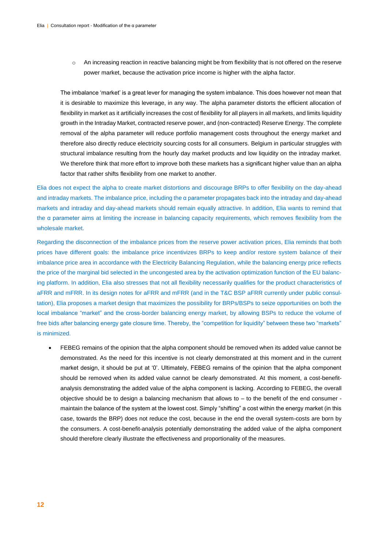o An increasing reaction in reactive balancing might be from flexibility that is not offered on the reserve power market, because the activation price income is higher with the alpha factor.

The imbalance 'market' is a great lever for managing the system imbalance. This does however not mean that it is desirable to maximize this leverage, in any way. The alpha parameter distorts the efficient allocation of flexibility in market as it artificially increases the cost of flexibility for all players in all markets, and limits liquidity growth in the Intraday Market, contracted reserve power, and (non-contracted) Reserve Energy. The complete removal of the alpha parameter will reduce portfolio management costs throughout the energy market and therefore also directly reduce electricity sourcing costs for all consumers. Belgium in particular struggles with structural imbalance resulting from the hourly day market products and low liquidity on the intraday market. We therefore think that more effort to improve both these markets has a significant higher value than an alpha factor that rather shifts flexibility from one market to another.

Elia does not expect the alpha to create market distortions and discourage BRPs to offer flexibility on the day-ahead and intraday markets. The imbalance price, including the α parameter propagates back into the intraday and day-ahead markets and intraday and day-ahead markets should remain equally attractive. In addition, Elia wants to remind that the α parameter aims at limiting the increase in balancing capacity requirements, which removes flexibility from the wholesale market.

Regarding the disconnection of the imbalance prices from the reserve power activation prices, Elia reminds that both prices have different goals: the imbalance price incentivizes BRPs to keep and/or restore system balance of their imbalance price area in accordance with the Electricity Balancing Regulation, while the balancing energy price reflects the price of the marginal bid selected in the uncongested area by the activation optimization function of the EU balancing platform. In addition, Elia also stresses that not all flexibility necessarily qualifies for the product characteristics of aFRR and mFRR. In its design notes for aFRR and mFRR (and in the T&C BSP aFRR currently under public consultation), Elia proposes a market design that maximizes the possibility for BRPs/BSPs to seize opportunities on both the local imbalance "market" and the cross-border balancing energy market, by allowing BSPs to reduce the volume of free bids after balancing energy gate closure time. Thereby, the "competition for liquidity" between these two "markets" is minimized.

 FEBEG remains of the opinion that the alpha component should be removed when its added value cannot be demonstrated. As the need for this incentive is not clearly demonstrated at this moment and in the current market design, it should be put at '0'. Ultimately, FEBEG remains of the opinion that the alpha component should be removed when its added value cannot be clearly demonstrated. At this moment, a cost-benefitanalysis demonstrating the added value of the alpha component is lacking. According to FEBEG, the overall objective should be to design a balancing mechanism that allows to  $-$  to the benefit of the end consumer maintain the balance of the system at the lowest cost. Simply "shifting" a cost within the energy market (in this case, towards the BRP) does not reduce the cost, because in the end the overall system-costs are born by the consumers. A cost-benefit-analysis potentially demonstrating the added value of the alpha component should therefore clearly illustrate the effectiveness and proportionality of the measures.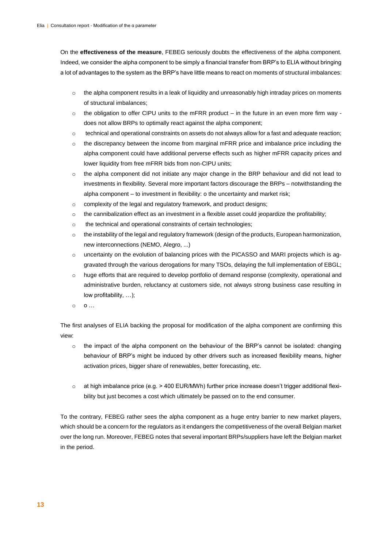On the **effectiveness of the measure**, FEBEG seriously doubts the effectiveness of the alpha component. Indeed, we consider the alpha component to be simply a financial transfer from BRP's to ELIA without bringing a lot of advantages to the system as the BRP's have little means to react on moments of structural imbalances:

- $\circ$  the alpha component results in a leak of liquidity and unreasonably high intraday prices on moments of structural imbalances;
- $\circ$  the obligation to offer CIPU units to the mFRR product in the future in an even more firm way does not allow BRPs to optimally react against the alpha component;
- $\circ$  technical and operational constraints on assets do not always allow for a fast and adequate reaction;
- $\circ$  the discrepancy between the income from marginal mFRR price and imbalance price including the alpha component could have additional perverse effects such as higher mFRR capacity prices and lower liquidity from free mFRR bids from non-CIPU units;
- $\circ$  the alpha component did not initiate any major change in the BRP behaviour and did not lead to investments in flexibility. Several more important factors discourage the BRPs – notwithstanding the alpha component – to investment in flexibility: o the uncertainty and market risk;
- o complexity of the legal and regulatory framework, and product designs;
- o the cannibalization effect as an investment in a flexible asset could jeopardize the profitability;
- o the technical and operational constraints of certain technologies;
- $\circ$  the instability of the legal and regulatory framework (design of the products, European harmonization, new interconnections (NEMO, Alegro, ...)
- o uncertainty on the evolution of balancing prices with the PICASSO and MARI projects which is aggravated through the various derogations for many TSOs, delaying the full implementation of EBGL;
- o huge efforts that are required to develop portfolio of demand response (complexity, operational and administrative burden, reluctancy at customers side, not always strong business case resulting in low profitability, …);
- $\circ$  0  $\ldots$

The first analyses of ELIA backing the proposal for modification of the alpha component are confirming this view:

- $\circ$  the impact of the alpha component on the behaviour of the BRP's cannot be isolated: changing behaviour of BRP's might be induced by other drivers such as increased flexibility means, higher activation prices, bigger share of renewables, better forecasting, etc.
- o at high imbalance price (e.g. > 400 EUR/MWh) further price increase doesn't trigger additional flexibility but just becomes a cost which ultimately be passed on to the end consumer.

To the contrary, FEBEG rather sees the alpha component as a huge entry barrier to new market players, which should be a concern for the regulators as it endangers the competitiveness of the overall Belgian market over the long run. Moreover, FEBEG notes that several important BRPs/suppliers have left the Belgian market in the period.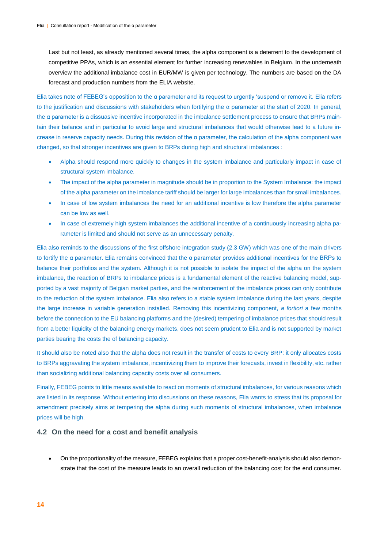Last but not least, as already mentioned several times, the alpha component is a deterrent to the development of competitive PPAs, which is an essential element for further increasing renewables in Belgium. In the underneath overview the additional imbalance cost in EUR/MW is given per technology. The numbers are based on the DA forecast and production numbers from the ELIA website.

Elia takes note of FEBEG's opposition to the α parameter and its request to urgently 'suspend or remove it. Elia refers to the justification and discussions with stakeholders when fortifying the α parameter at the start of 2020. In general, the α parameter is a dissuasive incentive incorporated in the imbalance settlement process to ensure that BRPs maintain their balance and in particular to avoid large and structural imbalances that would otherwise lead to a future increase in reserve capacity needs. During this revision of the α parameter, the calculation of the alpha component was changed, so that stronger incentives are given to BRPs during high and structural imbalances :

- Alpha should respond more quickly to changes in the system imbalance and particularly impact in case of structural system imbalance.
- The impact of the alpha parameter in magnitude should be in proportion to the System Imbalance: the impact of the alpha parameter on the imbalance tariff should be larger for large imbalances than for small imbalances.
- In case of low system imbalances the need for an additional incentive is low therefore the alpha parameter can be low as well.
- In case of extremely high system imbalances the additional incentive of a continuously increasing alpha parameter is limited and should not serve as an unnecessary penalty.

Elia also reminds to the discussions of the first offshore integration study (2.3 GW) which was one of the main drivers to fortify the α parameter. Elia remains convinced that the α parameter provides additional incentives for the BRPs to balance their portfolios and the system. Although it is not possible to isolate the impact of the alpha on the system imbalance, the reaction of BRPs to imbalance prices is a fundamental element of the reactive balancing model, supported by a vast majority of Belgian market parties, and the reinforcement of the imbalance prices can only contribute to the reduction of the system imbalance. Elia also refers to a stable system imbalance during the last years, despite the large increase in variable generation installed. Removing this incentivizing component, *a fortiori* a few months before the connection to the EU balancing platforms and the (desired) tempering of imbalance prices that should result from a better liquidity of the balancing energy markets, does not seem prudent to Elia and is not supported by market parties bearing the costs the of balancing capacity.

It should also be noted also that the alpha does not result in the transfer of costs to every BRP: it only allocates costs to BRPs aggravating the system imbalance, incentivizing them to improve their forecasts, invest in flexibility, etc. rather than socializing additional balancing capacity costs over all consumers.

Finally, FEBEG points to little means available to react on moments of structural imbalances, for various reasons which are listed in its response. Without entering into discussions on these reasons, Elia wants to stress that its proposal for amendment precisely aims at tempering the alpha during such moments of structural imbalances, when imbalance prices will be high.

## **4.2 On the need for a cost and benefit analysis**

 On the proportionality of the measure, FEBEG explains that a proper cost-benefit-analysis should also demonstrate that the cost of the measure leads to an overall reduction of the balancing cost for the end consumer.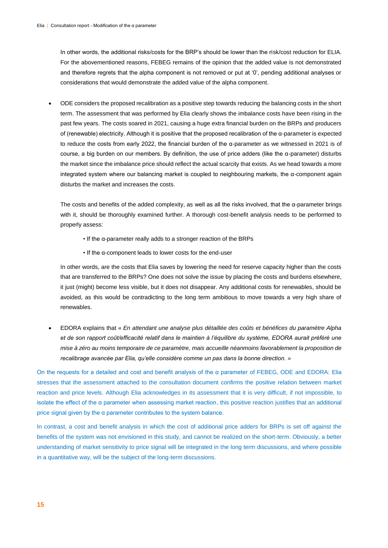In other words, the additional risks/costs for the BRP's should be lower than the risk/cost reduction for ELIA. For the abovementioned reasons, FEBEG remains of the opinion that the added value is not demonstrated and therefore regrets that the alpha component is not removed or put at '0', pending additional analyses or considerations that would demonstrate the added value of the alpha component.

 ODE considers the proposed recalibration as a positive step towards reducing the balancing costs in the short term. The assessment that was performed by Elia clearly shows the imbalance costs have been rising in the past few years. The costs soared in 2021, causing a huge extra financial burden on the BRPs and producers of (renewable) electricity. Although it is positive that the proposed recalibration of the α-parameter is expected to reduce the costs from early 2022, the financial burden of the α-parameter as we witnessed in 2021 is of course, a big burden on our members. By definition, the use of price adders (like the α-parameter) disturbs the market since the imbalance price should reflect the actual scarcity that exists. As we head towards a more integrated system where our balancing market is coupled to neighbouring markets, the α-component again disturbs the market and increases the costs.

The costs and benefits of the added complexity, as well as all the risks involved, that the  $\alpha$ -parameter brings with it, should be thoroughly examined further. A thorough cost-benefit analysis needs to be performed to properly assess:

- If the α-parameter really adds to a stronger reaction of the BRPs
- If the α-component leads to lower costs for the end-user

In other words, are the costs that Elia saves by lowering the need for reserve capacity higher than the costs that are transferred to the BRPs? One does not solve the issue by placing the costs and burdens elsewhere, it just (might) become less visible, but it does not disappear. Any additional costs for renewables, should be avoided, as this would be contradicting to the long term ambitious to move towards a very high share of renewables.

 EDORA explains that « *En attendant une analyse plus détaillée des coûts et bénéfices du paramètre Alpha et de son rapport coût/efficacité relatif dans le maintien à l'équilibre du système, EDORA aurait préféré une mise à zéro au moins temporaire de ce paramètre, mais accueille néanmoins favorablement la proposition de recalibrage avancée par Elia, qu'elle considère comme un pas dans la bonne direction. »*

On the requests for a detailed and cost and benefit analysis of the α parameter of FEBEG, ODE and EDORA: Elia stresses that the assessment attached to the consultation document confirms the positive relation between market reaction and price levels. Although Elia acknowledges in its assessment that it is very difficult, if not impossible, to isolate the effect of the α parameter when assessing market reaction, this positive reaction justifies that an additional price signal given by the α parameter contributes to the system balance.

In contrast, a cost and benefit analysis in which the cost of additional price adders for BRPs is set off against the benefits of the system was not envisioned in this study, and cannot be realized on the short-term. Obviously, a better understanding of market sensitivity to price signal will be integrated in the long term discussions, and where possible in a quantitative way, will be the subject of the long-term discussions.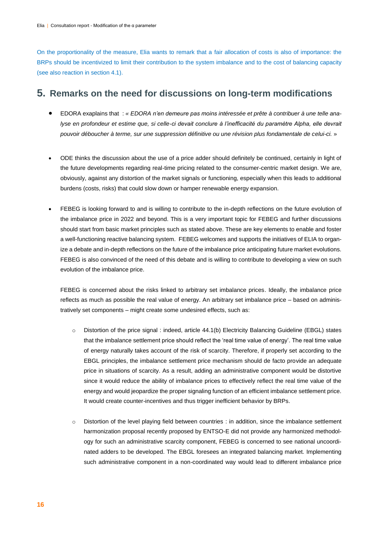On the proportionality of the measure, Elia wants to remark that a fair allocation of costs is also of importance: the BRPs should be incentivized to limit their contribution to the system imbalance and to the cost of balancing capacity (see also reaction in section 4.1).

# **5. Remarks on the need for discussions on long-term modifications**

- EDORA exaplains that : *« EDORA n'en demeure pas moins intéressée et prête à contribuer à une telle analyse en profondeur et estime que, si celle-ci devait conclure à l'inefficacité du paramètre Alpha, elle devrait pouvoir déboucher à terme, sur une suppression définitive ou une révision plus fondamentale de celui-ci.* »
- ODE thinks the discussion about the use of a price adder should definitely be continued, certainly in light of the future developments regarding real-time pricing related to the consumer-centric market design. We are, obviously, against any distortion of the market signals or functioning, especially when this leads to additional burdens (costs, risks) that could slow down or hamper renewable energy expansion.
- FEBEG is looking forward to and is willing to contribute to the in-depth reflections on the future evolution of the imbalance price in 2022 and beyond. This is a very important topic for FEBEG and further discussions should start from basic market principles such as stated above. These are key elements to enable and foster a well-functioning reactive balancing system. FEBEG welcomes and supports the initiatives of ELIA to organize a debate and in-depth reflections on the future of the imbalance price anticipating future market evolutions. FEBEG is also convinced of the need of this debate and is willing to contribute to developing a view on such evolution of the imbalance price.

FEBEG is concerned about the risks linked to arbitrary set imbalance prices. Ideally, the imbalance price reflects as much as possible the real value of energy. An arbitrary set imbalance price – based on administratively set components – might create some undesired effects, such as:

- $\circ$  Distortion of the price signal : indeed, article 44.1(b) Electricity Balancing Guideline (EBGL) states that the imbalance settlement price should reflect the 'real time value of energy'. The real time value of energy naturally takes account of the risk of scarcity. Therefore, if properly set according to the EBGL principles, the imbalance settlement price mechanism should de facto provide an adequate price in situations of scarcity. As a result, adding an administrative component would be distortive since it would reduce the ability of imbalance prices to effectively reflect the real time value of the energy and would jeopardize the proper signaling function of an efficient imbalance settlement price. It would create counter-incentives and thus trigger inefficient behavior by BRPs.
- Distortion of the level playing field between countries : in addition, since the imbalance settlement harmonization proposal recently proposed by ENTSO-E did not provide any harmonized methodology for such an administrative scarcity component, FEBEG is concerned to see national uncoordinated adders to be developed. The EBGL foresees an integrated balancing market. Implementing such administrative component in a non-coordinated way would lead to different imbalance price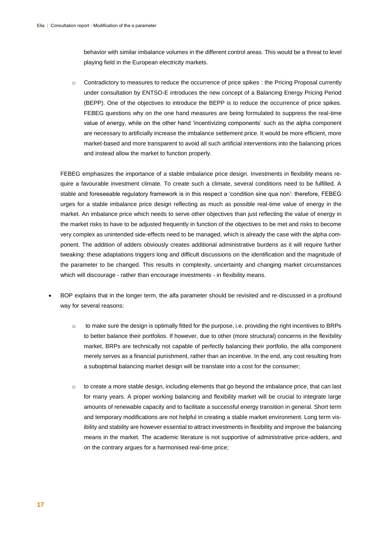behavior with similar imbalance volumes in the different control areas. This would be a threat to level playing field in the European electricity markets.

o Contradictory to measures to reduce the occurrence of price spikes : the Pricing Proposal currently under consultation by ENTSO-E introduces the new concept of a Balancing Energy Pricing Period (BEPP). One of the objectives to introduce the BEPP is to reduce the occurrence of price spikes. FEBEG questions why on the one hand measures are being formulated to suppress the real-time value of energy, while on the other hand 'incentivizing components' such as the alpha component are necessary to artificially increase the imbalance settlement price. It would be more efficient, more market-based and more transparent to avoid all such artificial interventions into the balancing prices and instead allow the market to function properly.

FEBEG emphasizes the importance of a stable imbalance price design. Investments in flexibility means require a favourable investment climate. To create such a climate, several conditions need to be fulfilled. A stable and foreseeable regulatory framework is in this respect a 'condition sine qua non': therefore, FEBEG urges for a stable imbalance price design reflecting as much as possible real-time value of energy in the market. An imbalance price which needs to serve other objectives than just reflecting the value of energy in the market risks to have to be adjusted frequently in function of the objectives to be met and risks to become very complex as unintended side-effects need to be managed, which is already the case with the alpha component. The addition of adders obviously creates additional administrative burdens as it will require further tweaking: these adaptations triggers long and difficult discussions on the identification and the magnitude of the parameter to be changed. This results in complexity, uncertainty and changing market circumstances which will discourage - rather than encourage investments - in flexibility means.

- BOP explains that in the longer term, the alfa parameter should be revisited and re-discussed in a profound way for several reasons:
	- o to make sure the design is optimally fitted for the purpose, i.e. providing the right incentives to BRPs to better balance their portfolios. If however, due to other (more structural) concerns in the flexibility market, BRPs are technically not capable of perfectly balancing their portfolio, the alfa component merely serves as a financial punishment, rather than an incentive. In the end, any cost resulting from a suboptimal balancing market design will be translate into a cost for the consumer;
	- $\circ$  to create a more stable design, including elements that go beyond the imbalance price, that can last for many years. A proper working balancing and flexibility market will be crucial to integrate large amounts of renewable capacity and to facilitate a successful energy transition in general. Short term and temporary modifications are not helpful in creating a stable market environment. Long term visibility and stability are however essential to attract investments in flexibility and improve the balancing means in the market. The academic literature is not supportive of administrative price-adders, and on the contrary argues for a harmonised real-time price;